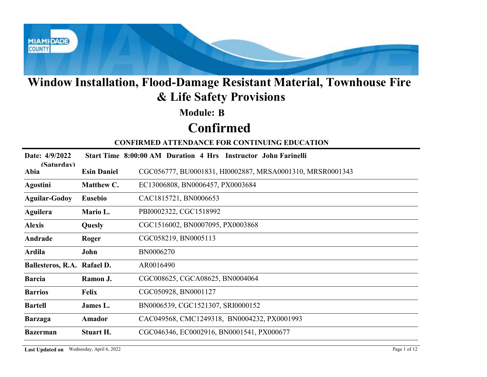

### Module: B

# Confirmed

|                             |                    | Window Installation, Flood-Damage Resistant Material, Townhouse Fire<br>& Life Safety Provisions |
|-----------------------------|--------------------|--------------------------------------------------------------------------------------------------|
|                             |                    | <b>Module: B</b>                                                                                 |
|                             |                    | <b>Confirmed</b>                                                                                 |
|                             |                    | <b>CONFIRMED ATTENDANCE FOR CONTINUING EDUCATION</b>                                             |
| Date: 4/9/2022              |                    | Start Time 8:00:00 AM Duration 4 Hrs Instructor John Farinelli                                   |
| (Saturdav)<br>Abia          | <b>Esin Daniel</b> | CGC056777, BU0001831, HI0002887, MRSA0001310, MRSR0001343                                        |
| <b>Agostini</b>             | Matthew C.         | EC13006808, BN0006457, PX0003684                                                                 |
| <b>Aguilar-Godoy</b>        | <b>Eusebio</b>     | CAC1815721, BN0006653                                                                            |
| <b>Aguilera</b>             | Mario L.           | PBI0002322, CGC1518992                                                                           |
| <b>Alexis</b>               | Quesly             | CGC1516002, BN0007095, PX0003868                                                                 |
| Andrade                     | Roger              | CGC058219, BN0005113                                                                             |
| Ardila                      | John               | BN0006270                                                                                        |
| Ballesteros, R.A. Rafael D. |                    | AR0016490                                                                                        |
| <b>Barcia</b>               | Ramon J.           | CGC008625, CGCA08625, BN0004064                                                                  |
| <b>Barrios</b>              | Felix              | CGC050928, BN0001127                                                                             |
| <b>Bartell</b>              | James L.           | BN0006539, CGC1521307, SRI0000152                                                                |
| <b>Barzaga</b>              | Amador             | CAC049568, CMC1249318, BN0004232, PX0001993                                                      |
| <b>Bazerman</b>             | Stuart H.          | CGC046346, EC0002916, BN0001541, PX000677                                                        |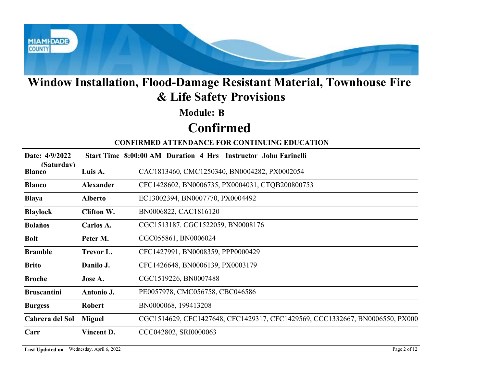

### Module: B

# Confirmed

|                             |                   | Window Installation, Flood-Damage Resistant Material, Townhouse Fire<br>& Life Safety Provisions |
|-----------------------------|-------------------|--------------------------------------------------------------------------------------------------|
|                             |                   | <b>Module: B</b>                                                                                 |
|                             |                   | <b>Confirmed</b>                                                                                 |
|                             |                   | <b>CONFIRMED ATTENDANCE FOR CONTINUING EDUCATION</b>                                             |
| Date: 4/9/2022              |                   | Start Time 8:00:00 AM Duration 4 Hrs Instructor John Farinelli                                   |
| (Saturdav)<br><b>Blanco</b> | Luis A.           | CAC1813460, CMC1250340, BN0004282, PX0002054                                                     |
| <b>Blanco</b>               | Alexander         | CFC1428602, BN0006735, PX0004031, CTQB200800753                                                  |
| <b>Blaya</b>                | <b>Alberto</b>    | EC13002394, BN0007770, PX0004492                                                                 |
| <b>Blaylock</b>             | <b>Clifton W.</b> | BN0006822, CAC1816120                                                                            |
| <b>Bolaños</b>              | Carlos A.         | CGC1513187. CGC1522059, BN0008176                                                                |
| <b>Bolt</b>                 | Peter M.          | CGC055861, BN0006024                                                                             |
| <b>Bramble</b>              | Trevor L.         | CFC1427991, BN0008359, PPP0000429                                                                |
| <b>Brito</b>                | Danilo J.         | CFC1426648, BN0006139, PX0003179                                                                 |
| <b>Broche</b>               | Jose A.           | CGC1519226, BN0007488                                                                            |
| <b>Bruscantini</b>          | Antonio J.        | PE0057978, CMC056758, CBC046586                                                                  |
| <b>Burgess</b>              | <b>Robert</b>     | BN0000068, 199413208                                                                             |
| Cabrera del Sol             | <b>Miguel</b>     | CGC1514629, CFC1427648, CFC1429317, CFC1429569, CCC1332667, BN0006550, PX000                     |
| Carr                        | Vincent D.        | CCC042802, SRI0000063                                                                            |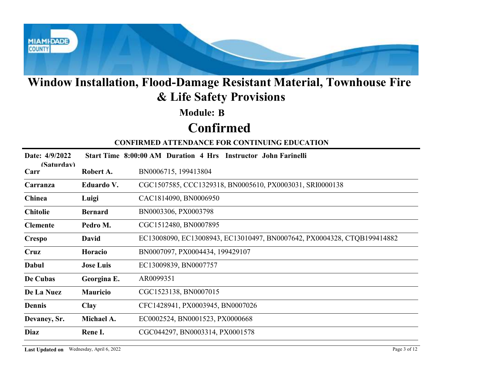

### Module: B

# Confirmed

|                    |                  | Window Installation, Flood-Damage Resistant Material, Townhouse Fire<br>& Life Safety Provisions |
|--------------------|------------------|--------------------------------------------------------------------------------------------------|
|                    |                  | <b>Module: B</b>                                                                                 |
|                    |                  | <b>Confirmed</b>                                                                                 |
|                    |                  | <b>CONFIRMED ATTENDANCE FOR CONTINUING EDUCATION</b>                                             |
| Date: 4/9/2022     |                  | Start Time 8:00:00 AM Duration 4 Hrs Instructor John Farinelli                                   |
| (Saturdav)<br>Carr | Robert A.        | BN0006715, 199413804                                                                             |
| Carranza           | Eduardo V.       | CGC1507585, CCC1329318, BN0005610, PX0003031, SRI0000138                                         |
| Chinea             | Luigi            | CAC1814090, BN0006950                                                                            |
| <b>Chitolie</b>    | <b>Bernard</b>   | BN0003306, PX0003798                                                                             |
| <b>Clemente</b>    | Pedro M.         | CGC1512480, BN0007895                                                                            |
| <b>Crespo</b>      | <b>David</b>     | EC13008090, EC13008943, EC13010497, BN0007642, PX0004328, CTQB199414882                          |
| <b>Cruz</b>        | Horacio          | BN0007097, PX0004434, 199429107                                                                  |
| Dabul              | <b>Jose Luis</b> | EC13009839, BN0007757                                                                            |
| De Cubas           | Georgina E.      | AR0099351                                                                                        |
| De La Nuez         | <b>Mauricio</b>  | CGC1523138, BN0007015                                                                            |
| Dennis             | <b>Clay</b>      | CFC1428941, PX0003945, BN0007026                                                                 |
| Devaney, Sr.       | Michael A.       | EC0002524, BN0001523, PX0000668                                                                  |
| Diaz               | Rene I.          | CGC044297, BN0003314, PX0001578                                                                  |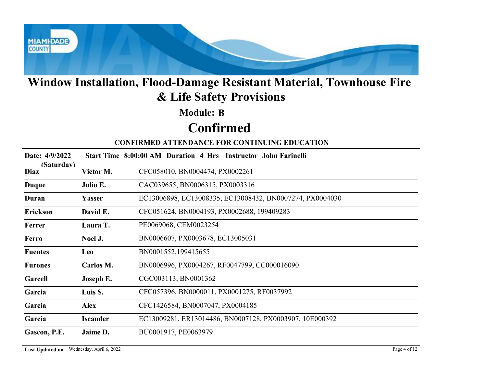

### Module: B

# Confirmed

|                    |                 | Window Installation, Flood-Damage Resistant Material, Townhouse Fire<br>& Life Safety Provisions |
|--------------------|-----------------|--------------------------------------------------------------------------------------------------|
|                    |                 | <b>Module: B</b>                                                                                 |
|                    |                 | <b>Confirmed</b>                                                                                 |
|                    |                 | <b>CONFIRMED ATTENDANCE FOR CONTINUING EDUCATION</b>                                             |
| Date: 4/9/2022     |                 | Start Time 8:00:00 AM Duration 4 Hrs Instructor John Farinelli                                   |
| (Saturdav)<br>Diaz | Victor M.       | CFC058010, BN0004474, PX0002261                                                                  |
| <b>Duque</b>       | Julio E.        | CAC039655, BN0006315, PX0003316                                                                  |
| Duran              | Yasser          | EC13006898, EC13008335, EC13008432, BN0007274, PX0004030                                         |
| Erickson           | David E.        | CFC051624, BN0004193, PX0002688, 199409283                                                       |
| Ferrer             | Laura T.        | PE0069068, CEM0023254                                                                            |
| Ferro              | Noel J.         | BN0006607, PX0003678, EC13005031                                                                 |
| <b>Fuentes</b>     | <b>Leo</b>      | BN0001552,199415655                                                                              |
| <b>Furones</b>     | Carlos M.       | BN0006996, PX0004267, RF0047799, CC000016090                                                     |
| Garcell            | Joseph E.       | CGC003113, BN0001362                                                                             |
| Garcia             | Luis S.         | CFC057396, BN0000011, PX0001275, RF0037992                                                       |
| Garcia             | <b>Alex</b>     | CFC1426584, BN0007047, PX0004185                                                                 |
| Garcia             | <b>Iscander</b> | EC13009281, ER13014486, BN0007128, PX0003907, 10E000392                                          |
| Gascon, P.E.       | Jaime D.        | BU0001917, PE0063979                                                                             |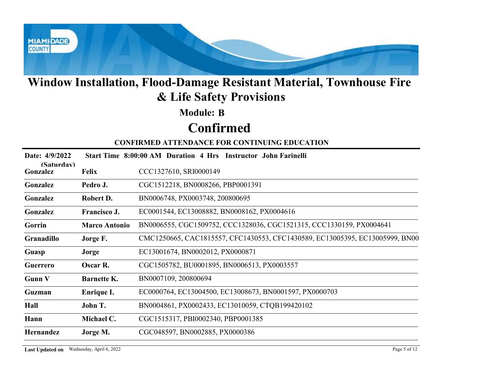

#### Module: B

# Confirmed

|                        |                      | Window Installation, Flood-Damage Resistant Material, Townhouse Fire<br>& Life Safety Provisions |
|------------------------|----------------------|--------------------------------------------------------------------------------------------------|
|                        |                      | <b>Module: B</b>                                                                                 |
|                        |                      | <b>Confirmed</b>                                                                                 |
|                        |                      | <b>CONFIRMED ATTENDANCE FOR CONTINUING EDUCATION</b>                                             |
| Date: 4/9/2022         |                      | Start Time 8:00:00 AM Duration 4 Hrs Instructor John Farinelli                                   |
| (Saturdav)<br>Gonzalez | <b>Felix</b>         | CCC1327610, SRI0000149                                                                           |
| Gonzalez               | Pedro J.             | CGC1512218, BN0008266, PBP0001391                                                                |
| Gonzalez               | Robert D.            | BN0006748, PX0003748, 200800695                                                                  |
| Gonzalez               | Francisco J.         | EC0001544, EC13008882, BN0008162, PX0004616                                                      |
| Gorrin                 | <b>Marco Antonio</b> | BN0006555, CGC1509752, CCC1328036, CGC1521315, CCC1330159, PX0004641                             |
| Granadillo             | Jorge F.             | CMC1250665, CAC1815557, CFC1430553, CFC1430589, EC13005395, EC13005999, BN00                     |
| Guasp                  | Jorge                | EC13001674, BN0002012, PX0000871                                                                 |
| Guerrero               | Oscar R.             | CGC1505782, BU0001895, BN0006513, PX0003557                                                      |
| <b>Gunn V</b>          | <b>Barnette K.</b>   | BN0007109, 200800694                                                                             |
| Guzman                 | Enrique I.           | EC0000764, EC13004500, EC13008673, BN0001597, PX0000703                                          |
| Hall                   | John T.              | BN0004861, PX0002433, EC13010059, CTQB199420102                                                  |
| Hann                   | Michael C.           | CGC1515317, PBI0002340, PBP0001385                                                               |
|                        | Jorge M.             | CGC048597, BN0002885, PX0000386                                                                  |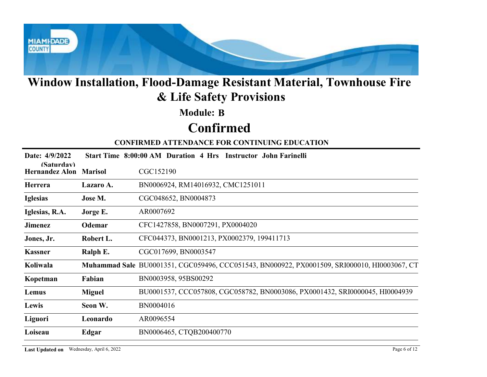

### Module: B

# Confirmed

| <b>Module: B</b><br><b>Confirmed</b><br><b>CONFIRMED ATTENDANCE FOR CONTINUING EDUCATION</b><br>Date: 4/9/2022<br>Start Time 8:00:00 AM Duration 4 Hrs Instructor John Farinelli<br>(Saturdav)<br>CGC152190<br><b>Hernandez Alon Marisol</b><br>BN0006924, RM14016932, CMC1251011<br>Herrera<br>Lazaro A.<br>Jose M.<br>CGC048652, BN0004873<br><b>Iglesias</b><br>AR0007692<br>Iglesias, R.A.<br>Jorge E.<br><b>Odemar</b><br>CFC1427858, BN0007291, PX0004020<br><b>Jimenez</b><br>CFC044373, BN0001213, PX0002379, 199411713<br>Robert L.<br>Jones, Jr.<br>CGC017699, BN0003547<br><b>Kassner</b><br>Ralph E.<br>Muhammad Sale BU0001351, CGC059496, CCC051543, BN000922, PX0001509, SRI000010, HI0003067, CT<br>Koliwala<br>BN0003958, 95BS00292<br>Fabian<br>Kopetman<br>BU0001537, CCC057808, CGC058782, BN0003086, PX0001432, SRI0000045, HI0004939<br><b>Miguel</b><br>Lemus<br>BN0004016<br>Seon W.<br>Lewis<br>AR0096554<br>Liguori<br>Leonardo<br>Loiseau<br>BN0006465, CTQB200400770<br>Edgar |  | Window Installation, Flood-Damage Resistant Material, Townhouse Fire<br>& Life Safety Provisions |
|-----------------------------------------------------------------------------------------------------------------------------------------------------------------------------------------------------------------------------------------------------------------------------------------------------------------------------------------------------------------------------------------------------------------------------------------------------------------------------------------------------------------------------------------------------------------------------------------------------------------------------------------------------------------------------------------------------------------------------------------------------------------------------------------------------------------------------------------------------------------------------------------------------------------------------------------------------------------------------------------------------------|--|--------------------------------------------------------------------------------------------------|
|                                                                                                                                                                                                                                                                                                                                                                                                                                                                                                                                                                                                                                                                                                                                                                                                                                                                                                                                                                                                           |  |                                                                                                  |
|                                                                                                                                                                                                                                                                                                                                                                                                                                                                                                                                                                                                                                                                                                                                                                                                                                                                                                                                                                                                           |  |                                                                                                  |
|                                                                                                                                                                                                                                                                                                                                                                                                                                                                                                                                                                                                                                                                                                                                                                                                                                                                                                                                                                                                           |  |                                                                                                  |
|                                                                                                                                                                                                                                                                                                                                                                                                                                                                                                                                                                                                                                                                                                                                                                                                                                                                                                                                                                                                           |  |                                                                                                  |
|                                                                                                                                                                                                                                                                                                                                                                                                                                                                                                                                                                                                                                                                                                                                                                                                                                                                                                                                                                                                           |  |                                                                                                  |
|                                                                                                                                                                                                                                                                                                                                                                                                                                                                                                                                                                                                                                                                                                                                                                                                                                                                                                                                                                                                           |  |                                                                                                  |
|                                                                                                                                                                                                                                                                                                                                                                                                                                                                                                                                                                                                                                                                                                                                                                                                                                                                                                                                                                                                           |  |                                                                                                  |
|                                                                                                                                                                                                                                                                                                                                                                                                                                                                                                                                                                                                                                                                                                                                                                                                                                                                                                                                                                                                           |  |                                                                                                  |
|                                                                                                                                                                                                                                                                                                                                                                                                                                                                                                                                                                                                                                                                                                                                                                                                                                                                                                                                                                                                           |  |                                                                                                  |
|                                                                                                                                                                                                                                                                                                                                                                                                                                                                                                                                                                                                                                                                                                                                                                                                                                                                                                                                                                                                           |  |                                                                                                  |
|                                                                                                                                                                                                                                                                                                                                                                                                                                                                                                                                                                                                                                                                                                                                                                                                                                                                                                                                                                                                           |  |                                                                                                  |
|                                                                                                                                                                                                                                                                                                                                                                                                                                                                                                                                                                                                                                                                                                                                                                                                                                                                                                                                                                                                           |  |                                                                                                  |
|                                                                                                                                                                                                                                                                                                                                                                                                                                                                                                                                                                                                                                                                                                                                                                                                                                                                                                                                                                                                           |  |                                                                                                  |
|                                                                                                                                                                                                                                                                                                                                                                                                                                                                                                                                                                                                                                                                                                                                                                                                                                                                                                                                                                                                           |  |                                                                                                  |
|                                                                                                                                                                                                                                                                                                                                                                                                                                                                                                                                                                                                                                                                                                                                                                                                                                                                                                                                                                                                           |  |                                                                                                  |
|                                                                                                                                                                                                                                                                                                                                                                                                                                                                                                                                                                                                                                                                                                                                                                                                                                                                                                                                                                                                           |  |                                                                                                  |
|                                                                                                                                                                                                                                                                                                                                                                                                                                                                                                                                                                                                                                                                                                                                                                                                                                                                                                                                                                                                           |  |                                                                                                  |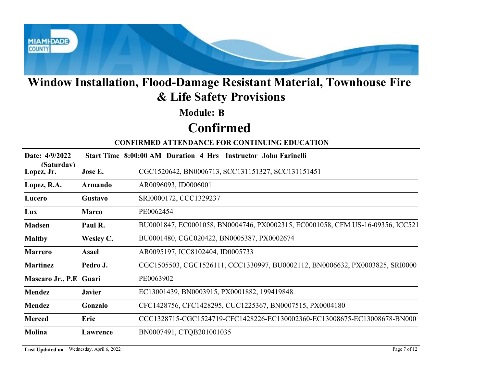

### Module: B

# Confirmed

|                          |                  | Window Installation, Flood-Damage Resistant Material, Townhouse Fire<br>& Life Safety Provisions |
|--------------------------|------------------|--------------------------------------------------------------------------------------------------|
|                          |                  | <b>Module: B</b>                                                                                 |
|                          |                  | <b>Confirmed</b>                                                                                 |
|                          |                  | <b>CONFIRMED ATTENDANCE FOR CONTINUING EDUCATION</b>                                             |
| Date: 4/9/2022           |                  | Start Time 8:00:00 AM Duration 4 Hrs Instructor John Farinelli                                   |
| (Saturdav)<br>Lopez, Jr. | Jose E.          | CGC1520642, BN0006713, SCC131151327, SCC131151451                                                |
| Lopez, R.A.              | <b>Armando</b>   | AR0096093, ID0006001                                                                             |
| Lucero                   | Gustavo          | SRI0000172, CCC1329237                                                                           |
| Lux                      | <b>Marco</b>     | PE0062454                                                                                        |
| <b>Madsen</b>            | Paul R.          | BU0001847, EC0001058, BN0004746, PX0002315, EC0001058, CFM US-16-09356, ICC521                   |
| <b>Maltby</b>            | <b>Wesley C.</b> | BU0001480, CGC020422, BN0005387, PX0002674                                                       |
| <b>Marrero</b>           | <b>Asael</b>     | AR0095197, ICC8102404, ID0005733                                                                 |
| <b>Martinez</b>          | Pedro J.         | CGC1505503, CGC1526111, CCC1330997, BU0002112, BN0006632, PX0003825, SRI0000                     |
| Mascaro Jr., P.E Guari   |                  | PE0063902                                                                                        |
| <b>Mendez</b>            | <b>Javier</b>    | EC13001439, BN0003915, PX0001882, 199419848                                                      |
|                          | Gonzalo          | CFC1428756, CFC1428295, CUC1225367, BN0007515, PX0004180                                         |
| Mendez                   |                  |                                                                                                  |
| <b>Merced</b>            | Eric             | CCC1328715-CGC1524719-CFC1428226-EC130002360-EC13008675-EC13008678-BN000                         |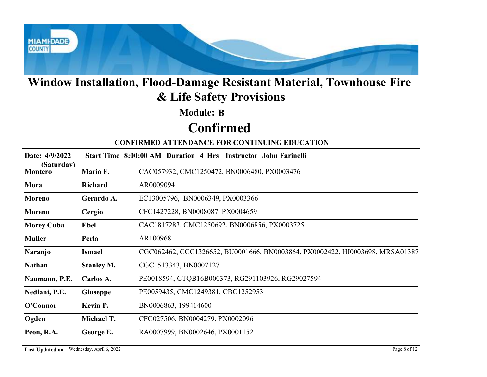

### Module: B

# Confirmed

|                              |                   | Window Installation, Flood-Damage Resistant Material, Townhouse Fire<br>& Life Safety Provisions |
|------------------------------|-------------------|--------------------------------------------------------------------------------------------------|
|                              |                   | <b>Module: B</b>                                                                                 |
|                              |                   | <b>Confirmed</b>                                                                                 |
|                              |                   | <b>CONFIRMED ATTENDANCE FOR CONTINUING EDUCATION</b>                                             |
| Date: 4/9/2022               |                   | Start Time 8:00:00 AM Duration 4 Hrs Instructor John Farinelli                                   |
| (Saturdav)<br><b>Montero</b> | Mario F.          | CAC057932, CMC1250472, BN0006480, PX0003476                                                      |
| Mora                         | Richard           | AR0009094                                                                                        |
| <b>Moreno</b>                | Gerardo A.        | EC13005796, BN0006349, PX0003366                                                                 |
| <b>Moreno</b>                | Cergio            | CFC1427228, BN0008087, PX0004659                                                                 |
| <b>Morey Cuba</b>            | Ebel              | CAC1817283, CMC1250692, BN0006856, PX0003725                                                     |
| <b>Muller</b>                | Perla             | AR100968                                                                                         |
| <b>Naranjo</b>               | <b>Ismael</b>     | CGC062462, CCC1326652, BU0001666, BN0003864, PX0002422, HI0003698, MRSA01387                     |
| <b>Nathan</b>                | <b>Stanley M.</b> | CGC1513343, BN0007127                                                                            |
| Naumann, P.E.                | Carlos A.         | PE0018594, CTQB16B000373, RG291103926, RG29027594                                                |
| Nediani, P.E.                | <b>Giuseppe</b>   | PE0059435, CMC1249381, CBC1252953                                                                |
| O'Connor                     | Kevin P.          | BN0006863, 199414600                                                                             |
| Ogden                        | Michael T.        | CFC027506, BN0004279, PX0002096                                                                  |
| Peon, R.A.                   | George E.         | RA0007999, BN0002646, PX0001152                                                                  |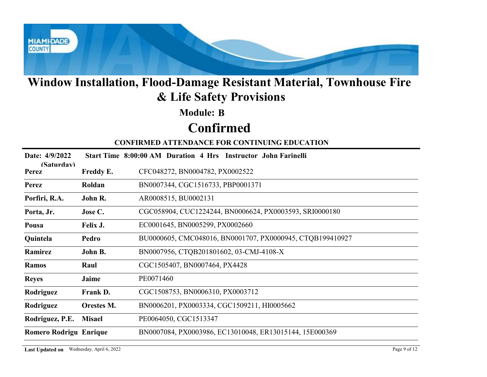

### Module: B

# Confirmed

|                               |               | Window Installation, Flood-Damage Resistant Material, Townhouse Fire<br>& Life Safety Provisions |
|-------------------------------|---------------|--------------------------------------------------------------------------------------------------|
|                               |               | <b>Module: B</b>                                                                                 |
|                               |               | <b>Confirmed</b>                                                                                 |
|                               |               | <b>CONFIRMED ATTENDANCE FOR CONTINUING EDUCATION</b>                                             |
| Date: 4/9/2022                |               | Start Time 8:00:00 AM Duration 4 Hrs Instructor John Farinelli                                   |
| (Saturdav)<br><b>Perez</b>    | Freddy E.     | CFC048272, BN0004782, PX0002522                                                                  |
| Perez                         | Roldan        | BN0007344, CGC1516733, PBP0001371                                                                |
| Porfiri, R.A.                 | John R.       | AR0008515, BU0002131                                                                             |
| Porta, Jr.                    | Jose C.       | CGC058904, CUC1224244, BN0006624, PX0003593, SRI0000180                                          |
| Pousa                         | Felix J.      | EC0001645, BN0005299, PX0002660                                                                  |
| Quintela                      | Pedro         | BU0000605, CMC048016, BN0001707, PX0000945, CTQB199410927                                        |
| Ramirez                       | John B.       | BN0007956, CTQB201801602, 03-CMJ-4108-X                                                          |
| <b>Ramos</b>                  | Raul          | CGC1505407, BN0007464, PX4428                                                                    |
| <b>Reyes</b>                  | Jaime         | PE0071460                                                                                        |
| Rodriguez                     | Frank D.      | CGC1508753, BN0006310, PX0003712                                                                 |
| Rodriguez                     | Orestes M.    | BN0006201, PX0003334, CGC1509211, HI0005662                                                      |
| Rodriguez, P.E.               | <b>Misael</b> | PE0064050, CGC1513347                                                                            |
| <b>Romero Rodrigu Enrique</b> |               | BN0007084, PX0003986, EC13010048, ER13015144, 15E000369                                          |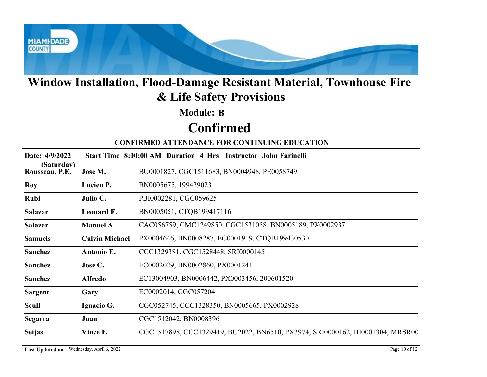

### Module: B

# Confirmed

|                              |                       | Window Installation, Flood-Damage Resistant Material, Townhouse Fire<br>& Life Safety Provisions |
|------------------------------|-----------------------|--------------------------------------------------------------------------------------------------|
|                              |                       | <b>Module: B</b>                                                                                 |
|                              |                       | <b>Confirmed</b>                                                                                 |
|                              |                       | <b>CONFIRMED ATTENDANCE FOR CONTINUING EDUCATION</b>                                             |
| Date: 4/9/2022               |                       | Start Time 8:00:00 AM Duration 4 Hrs Instructor John Farinelli                                   |
| (Saturdav)<br>Rousseau, P.E. | Jose M.               | BU0001827, CGC1511683, BN0004948, PE0058749                                                      |
| Roy                          | Lucien P.             | BN0005675, 199429023                                                                             |
| Rubi                         | Julio C.              | PBI0002281, CGC059625                                                                            |
| <b>Salazar</b>               | Leonard E.            | BN0005051, CTQB199417116                                                                         |
| <b>Salazar</b>               | Manuel A.             | CAC056759, CMC1249850, CGC1531058, BN0005189, PX0002937                                          |
| <b>Samuels</b>               | <b>Calvin Michael</b> | PX0004646, BN0008287, EC0001919, CTQB199430530                                                   |
| Sanchez                      | Antonio E.            | CCC1329381, CGC1528448, SRI0000145                                                               |
| Sanchez                      | Jose C.               | EC0002029, BN0002860, PX0001241                                                                  |
| Sanchez                      | <b>Alfredo</b>        | EC13004903, BN0006442, PX0003456, 200601520                                                      |
| <b>Sargent</b>               | Gary                  | EC0002014, CGC057204                                                                             |
| <b>Scull</b>                 | Ignacio G.            | CGC052745, CCC1328350, BN0005665, PX0002928                                                      |
| <b>Segarra</b>               | Juan                  | CGC1512042, BN0008396                                                                            |
| <b>Seijas</b>                | Vince F.              | CGC1517898, CCC1329419, BU2022, BN6510, PX3974, SRI0000162, HI0001304, MRSR00                    |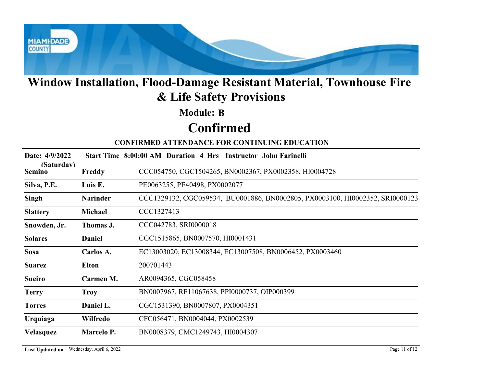

### Module: B

# Confirmed

|                             |                 | Window Installation, Flood-Damage Resistant Material, Townhouse Fire<br>& Life Safety Provisions |
|-----------------------------|-----------------|--------------------------------------------------------------------------------------------------|
|                             |                 | <b>Module: B</b>                                                                                 |
|                             |                 | <b>Confirmed</b>                                                                                 |
|                             |                 | <b>CONFIRMED ATTENDANCE FOR CONTINUING EDUCATION</b>                                             |
| Date: 4/9/2022              |                 | Start Time 8:00:00 AM Duration 4 Hrs Instructor John Farinelli                                   |
| (Saturdav)<br><b>Semino</b> | Freddy          | CCC054750, CGC1504265, BN0002367, PX0002358, HI0004728                                           |
| Silva, P.E.                 | Luis E.         | PE0063255, PE40498, PX0002077                                                                    |
| Singh                       | <b>Narinder</b> | CCC1329132, CGC059534, BU0001886, BN0002805, PX0003100, HI0002352, SRI0000123                    |
| <b>Slattery</b>             | Michael         | CCC1327413                                                                                       |
| Snowden, Jr.                | Thomas J.       | CCC042783, SRI0000018                                                                            |
| <b>Solares</b>              | <b>Daniel</b>   | CGC1515865, BN0007570, HI0001431                                                                 |
| <b>Sosa</b>                 | Carlos A.       | EC13003020, EC13008344, EC13007508, BN0006452, PX0003460                                         |
| <b>Suarez</b>               | <b>Elton</b>    | 200701443                                                                                        |
| <b>Sueiro</b>               | Carmen M.       | AR0094365, CGC058458                                                                             |
| <b>Terry</b>                | <b>Troy</b>     | BN0007967, RF11067638, PPI0000737, OIP000399                                                     |
| <b>Torres</b>               | Daniel L.       | CGC1531390, BN0007807, PX0004351                                                                 |
| <b>Urquiaga</b>             | Wilfredo        | CFC056471, BN0004044, PX0002539                                                                  |
| Velasquez                   | Marcelo P.      | BN0008379, CMC1249743, HI0004307                                                                 |